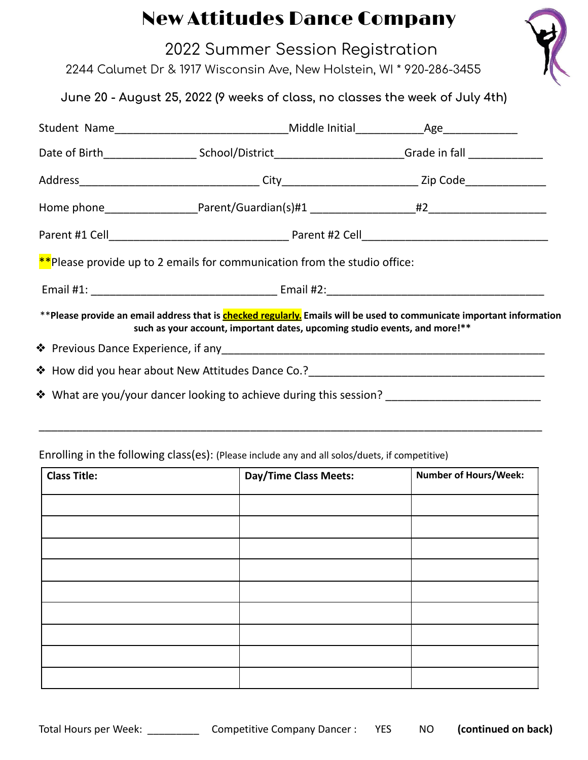## New Attitudes Dance Company

| New Attitudes Dance Company                                                                                                                                                                                |  |
|------------------------------------------------------------------------------------------------------------------------------------------------------------------------------------------------------------|--|
| 2022 Summer Session Registration<br>2244 Calumet Dr & 1917 Wisconsin Ave, New Holstein, WI * 920-286-3455                                                                                                  |  |
| June 20 - August 25, 2022 (9 weeks of class, no classes the week of July 4th)                                                                                                                              |  |
| Student Name___________________________________Middle Initial___________________Age________________                                                                                                        |  |
| Date of Birth_________________________School/District___________________________Grade in fall _______________                                                                                              |  |
|                                                                                                                                                                                                            |  |
|                                                                                                                                                                                                            |  |
|                                                                                                                                                                                                            |  |
| **Please provide up to 2 emails for communication from the studio office:                                                                                                                                  |  |
|                                                                                                                                                                                                            |  |
| **Please provide an email address that is <b>checked regularly.</b> Emails will be used to communicate important information<br>such as your account, important dates, upcoming studio events, and more!** |  |
|                                                                                                                                                                                                            |  |
|                                                                                                                                                                                                            |  |
|                                                                                                                                                                                                            |  |

## Enrolling in the following class(es): (Please include any and all solos/duets, if competitive)

| <b>Class Title:</b> | Day/Time Class Meets: | <b>Number of Hours/Week:</b> |
|---------------------|-----------------------|------------------------------|
|                     |                       |                              |
|                     |                       |                              |
|                     |                       |                              |
|                     |                       |                              |
|                     |                       |                              |
|                     |                       |                              |
|                     |                       |                              |
|                     |                       |                              |
|                     |                       |                              |

\_\_\_\_\_\_\_\_\_\_\_\_\_\_\_\_\_\_\_\_\_\_\_\_\_\_\_\_\_\_\_\_\_\_\_\_\_\_\_\_\_\_\_\_\_\_\_\_\_\_\_\_\_\_\_\_\_\_\_\_\_\_\_\_\_\_\_\_\_\_\_\_\_\_\_\_\_\_\_\_\_

Total Hours per Week: \_\_\_\_\_\_\_\_\_ Competitive Company Dancer : YES NO **(continued on back)**